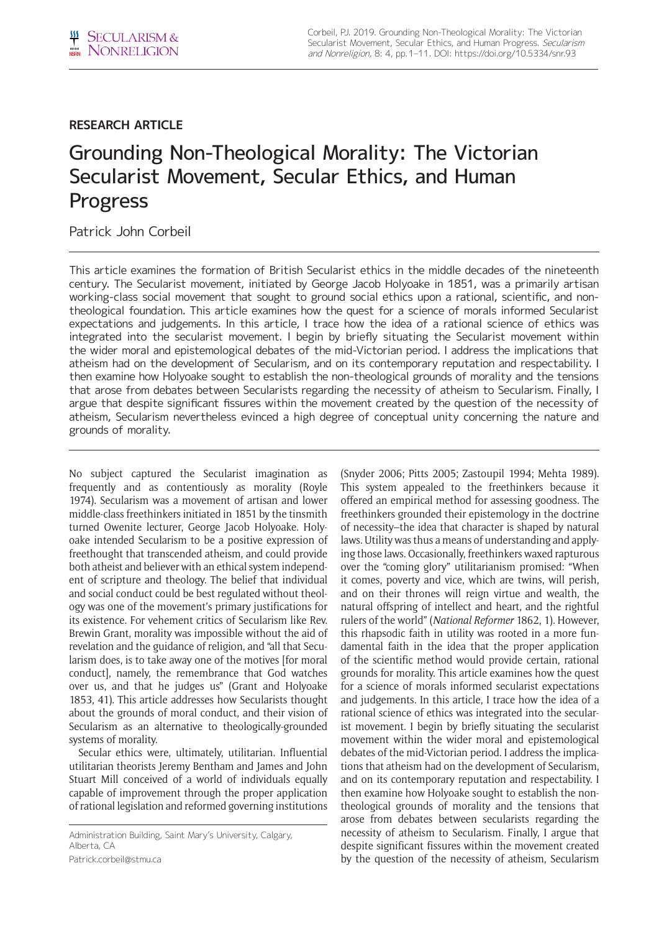## **RESEARCH ARTICLE**

# Grounding Non-Theological Morality: The Victorian Secularist Movement, Secular Ethics, and Human Progress

Patrick John Corbeil

This article examines the formation of British Secularist ethics in the middle decades of the nineteenth century. The Secularist movement, initiated by George Jacob Holyoake in 1851, was a primarily artisan working-class social movement that sought to ground social ethics upon a rational, scientific, and nontheological foundation. This article examines how the quest for a science of morals informed Secularist expectations and judgements. In this article, I trace how the idea of a rational science of ethics was integrated into the secularist movement. I begin by briefly situating the Secularist movement within the wider moral and epistemological debates of the mid-Victorian period. I address the implications that atheism had on the development of Secularism, and on its contemporary reputation and respectability. I then examine how Holyoake sought to establish the non-theological grounds of morality and the tensions that arose from debates between Secularists regarding the necessity of atheism to Secularism. Finally, I argue that despite significant fissures within the movement created by the question of the necessity of atheism, Secularism nevertheless evinced a high degree of conceptual unity concerning the nature and grounds of morality.

No subject captured the Secularist imagination as frequently and as contentiously as morality (Royle 1974). Secularism was a movement of artisan and lower middle-class freethinkers initiated in 1851 by the tinsmith turned Owenite lecturer, George Jacob Holyoake. Holyoake intended Secularism to be a positive expression of freethought that transcended atheism, and could provide both atheist and believer with an ethical system independent of scripture and theology. The belief that individual and social conduct could be best regulated without theology was one of the movement's primary justifications for its existence. For vehement critics of Secularism like Rev. Brewin Grant, morality was impossible without the aid of revelation and the guidance of religion, and "all that Secularism does, is to take away one of the motives [for moral conduct], namely, the remembrance that God watches over us, and that he judges us" (Grant and Holyoake 1853, 41). This article addresses how Secularists thought about the grounds of moral conduct, and their vision of Secularism as an alternative to theologically-grounded systems of morality.

Secular ethics were, ultimately, utilitarian. Influential utilitarian theorists Jeremy Bentham and James and John Stuart Mill conceived of a world of individuals equally capable of improvement through the proper application of rational legislation and reformed governing institutions

[Patrick.corbeil@stmu.ca](mailto:Patrick.corbeil@stmu.ca)

(Snyder 2006; Pitts 2005; Zastoupil 1994; Mehta 1989). This system appealed to the freethinkers because it offered an empirical method for assessing goodness. The freethinkers grounded their epistemology in the doctrine of necessity–the idea that character is shaped by natural laws. Utility was thus a means of understanding and applying those laws. Occasionally, freethinkers waxed rapturous over the "coming glory" utilitarianism promised: "When it comes, poverty and vice, which are twins, will perish, and on their thrones will reign virtue and wealth, the natural offspring of intellect and heart, and the rightful rulers of the world" (*National Reformer* 1862, 1). However, this rhapsodic faith in utility was rooted in a more fundamental faith in the idea that the proper application of the scientific method would provide certain, rational grounds for morality. This article examines how the quest for a science of morals informed secularist expectations and judgements. In this article, I trace how the idea of a rational science of ethics was integrated into the secularist movement. I begin by briefly situating the secularist movement within the wider moral and epistemological debates of the mid-Victorian period. I address the implications that atheism had on the development of Secularism, and on its contemporary reputation and respectability. I then examine how Holyoake sought to establish the nontheological grounds of morality and the tensions that arose from debates between secularists regarding the necessity of atheism to Secularism. Finally, I argue that despite significant fissures within the movement created by the question of the necessity of atheism, Secularism

Administration Building, Saint Mary's University, Calgary, Alberta, CA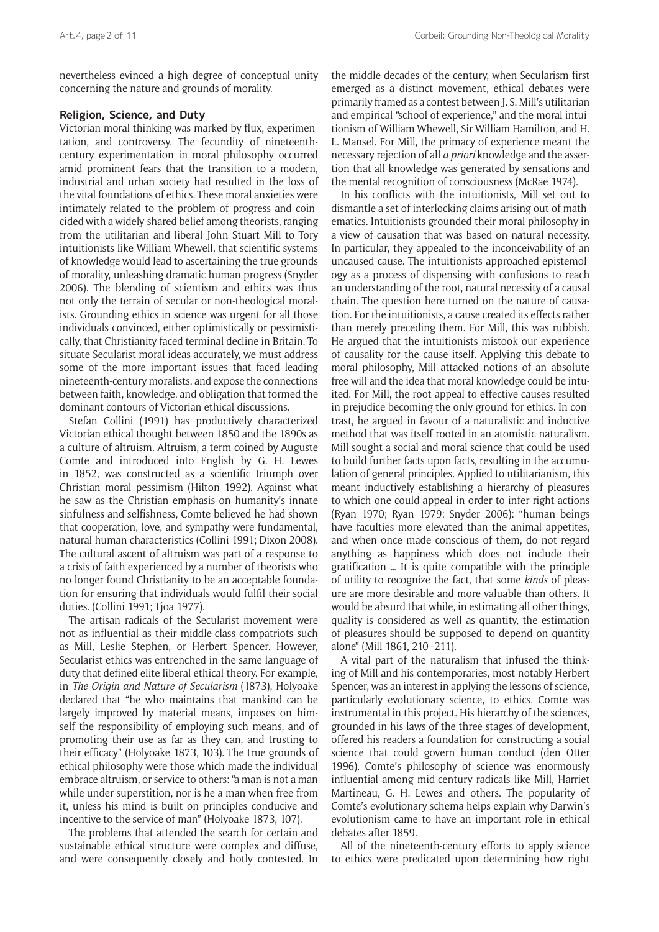nevertheless evinced a high degree of conceptual unity concerning the nature and grounds of morality.

## **Religion, Science, and Duty**

Victorian moral thinking was marked by flux, experimentation, and controversy. The fecundity of nineteenthcentury experimentation in moral philosophy occurred amid prominent fears that the transition to a modern, industrial and urban society had resulted in the loss of the vital foundations of ethics. These moral anxieties were intimately related to the problem of progress and coincided with a widely-shared belief among theorists, ranging from the utilitarian and liberal John Stuart Mill to Tory intuitionists like William Whewell, that scientific systems of knowledge would lead to ascertaining the true grounds of morality, unleashing dramatic human progress (Snyder 2006). The blending of scientism and ethics was thus not only the terrain of secular or non-theological moralists. Grounding ethics in science was urgent for all those individuals convinced, either optimistically or pessimistically, that Christianity faced terminal decline in Britain. To situate Secularist moral ideas accurately, we must address some of the more important issues that faced leading nineteenth-century moralists, and expose the connections between faith, knowledge, and obligation that formed the dominant contours of Victorian ethical discussions.

Stefan Collini (1991) has productively characterized Victorian ethical thought between 1850 and the 1890s as a culture of altruism. Altruism, a term coined by Auguste Comte and introduced into English by G. H. Lewes in 1852, was constructed as a scientific triumph over Christian moral pessimism (Hilton 1992). Against what he saw as the Christian emphasis on humanity's innate sinfulness and selfishness, Comte believed he had shown that cooperation, love, and sympathy were fundamental, natural human characteristics (Collini 1991; Dixon 2008). The cultural ascent of altruism was part of a response to a crisis of faith experienced by a number of theorists who no longer found Christianity to be an acceptable foundation for ensuring that individuals would fulfil their social duties. (Collini 1991; Tjoa 1977).

The artisan radicals of the Secularist movement were not as influential as their middle-class compatriots such as Mill, Leslie Stephen, or Herbert Spencer. However, Secularist ethics was entrenched in the same language of duty that defined elite liberal ethical theory. For example, in *The Origin and Nature of Secularism* (1873), Holyoake declared that "he who maintains that mankind can be largely improved by material means, imposes on himself the responsibility of employing such means, and of promoting their use as far as they can, and trusting to their efficacy" (Holyoake 1873, 103). The true grounds of ethical philosophy were those which made the individual embrace altruism, or service to others: "a man is not a man while under superstition, nor is he a man when free from it, unless his mind is built on principles conducive and incentive to the service of man" (Holyoake 1873, 107).

The problems that attended the search for certain and sustainable ethical structure were complex and diffuse, and were consequently closely and hotly contested. In the middle decades of the century, when Secularism first emerged as a distinct movement, ethical debates were primarily framed as a contest between J. S. Mill's utilitarian and empirical "school of experience," and the moral intuitionism of William Whewell, Sir William Hamilton, and H. L. Mansel. For Mill, the primacy of experience meant the necessary rejection of all *a priori* knowledge and the assertion that all knowledge was generated by sensations and the mental recognition of consciousness (McRae 1974).

In his conflicts with the intuitionists, Mill set out to dismantle a set of interlocking claims arising out of mathematics. Intuitionists grounded their moral philosophy in a view of causation that was based on natural necessity. In particular, they appealed to the inconceivability of an uncaused cause. The intuitionists approached epistemology as a process of dispensing with confusions to reach an understanding of the root, natural necessity of a causal chain. The question here turned on the nature of causation. For the intuitionists, a cause created its effects rather than merely preceding them. For Mill, this was rubbish. He argued that the intuitionists mistook our experience of causality for the cause itself. Applying this debate to moral philosophy, Mill attacked notions of an absolute free will and the idea that moral knowledge could be intuited. For Mill, the root appeal to effective causes resulted in prejudice becoming the only ground for ethics. In contrast, he argued in favour of a naturalistic and inductive method that was itself rooted in an atomistic naturalism. Mill sought a social and moral science that could be used to build further facts upon facts, resulting in the accumulation of general principles. Applied to utilitarianism, this meant inductively establishing a hierarchy of pleasures to which one could appeal in order to infer right actions (Ryan 1970; Ryan 1979; Snyder 2006): "human beings have faculties more elevated than the animal appetites, and when once made conscious of them, do not regard anything as happiness which does not include their gratification … It is quite compatible with the principle of utility to recognize the fact, that some *kinds* of pleasure are more desirable and more valuable than others. It would be absurd that while, in estimating all other things, quality is considered as well as quantity, the estimation of pleasures should be supposed to depend on quantity alone" (Mill 1861, 210–211).

A vital part of the naturalism that infused the thinking of Mill and his contemporaries, most notably Herbert Spencer, was an interest in applying the lessons of science, particularly evolutionary science, to ethics. Comte was instrumental in this project. His hierarchy of the sciences, grounded in his laws of the three stages of development, offered his readers a foundation for constructing a social science that could govern human conduct (den Otter 1996). Comte's philosophy of science was enormously influential among mid-century radicals like Mill, Harriet Martineau, G. H. Lewes and others. The popularity of Comte's evolutionary schema helps explain why Darwin's evolutionism came to have an important role in ethical debates after 1859.

All of the nineteenth-century efforts to apply science to ethics were predicated upon determining how right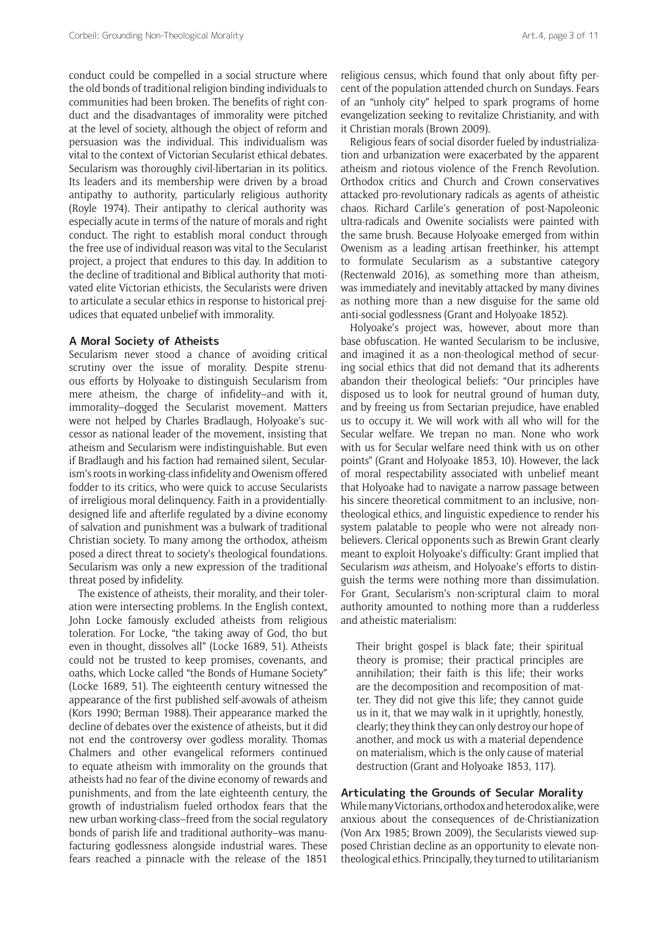conduct could be compelled in a social structure where the old bonds of traditional religion binding individuals to communities had been broken. The benefits of right conduct and the disadvantages of immorality were pitched at the level of society, although the object of reform and persuasion was the individual. This individualism was vital to the context of Victorian Secularist ethical debates. Secularism was thoroughly civil-libertarian in its politics. Its leaders and its membership were driven by a broad antipathy to authority, particularly religious authority (Royle 1974). Their antipathy to clerical authority was especially acute in terms of the nature of morals and right conduct. The right to establish moral conduct through the free use of individual reason was vital to the Secularist project, a project that endures to this day. In addition to the decline of traditional and Biblical authority that motivated elite Victorian ethicists, the Secularists were driven to articulate a secular ethics in response to historical prejudices that equated unbelief with immorality.

## **A Moral Society of Atheists**

Secularism never stood a chance of avoiding critical scrutiny over the issue of morality. Despite strenuous efforts by Holyoake to distinguish Secularism from mere atheism, the charge of infidelity–and with it, immorality–dogged the Secularist movement. Matters were not helped by Charles Bradlaugh, Holyoake's successor as national leader of the movement, insisting that atheism and Secularism were indistinguishable. But even if Bradlaugh and his faction had remained silent, Secularism's roots in working-class infidelity and Owenism offered fodder to its critics, who were quick to accuse Secularists of irreligious moral delinquency. Faith in a providentiallydesigned life and afterlife regulated by a divine economy of salvation and punishment was a bulwark of traditional Christian society. To many among the orthodox, atheism posed a direct threat to society's theological foundations. Secularism was only a new expression of the traditional threat posed by infidelity.

The existence of atheists, their morality, and their toleration were intersecting problems. In the English context, John Locke famously excluded atheists from religious toleration. For Locke, "the taking away of God, tho but even in thought, dissolves all" (Locke 1689, 51). Atheists could not be trusted to keep promises, covenants, and oaths, which Locke called "the Bonds of Humane Society" (Locke 1689, 51). The eighteenth century witnessed the appearance of the first published self-avowals of atheism (Kors 1990; Berman 1988). Their appearance marked the decline of debates over the existence of atheists, but it did not end the controversy over godless morality. Thomas Chalmers and other evangelical reformers continued to equate atheism with immorality on the grounds that atheists had no fear of the divine economy of rewards and punishments, and from the late eighteenth century, the growth of industrialism fueled orthodox fears that the new urban working-class–freed from the social regulatory bonds of parish life and traditional authority–was manufacturing godlessness alongside industrial wares. These fears reached a pinnacle with the release of the 1851

religious census, which found that only about fifty percent of the population attended church on Sundays. Fears of an "unholy city" helped to spark programs of home evangelization seeking to revitalize Christianity, and with it Christian morals (Brown 2009).

Religious fears of social disorder fueled by industrialization and urbanization were exacerbated by the apparent atheism and riotous violence of the French Revolution. Orthodox critics and Church and Crown conservatives attacked pro-revolutionary radicals as agents of atheistic chaos. Richard Carlile's generation of post-Napoleonic ultra-radicals and Owenite socialists were painted with the same brush. Because Holyoake emerged from within Owenism as a leading artisan freethinker, his attempt to formulate Secularism as a substantive category (Rectenwald 2016), as something more than atheism, was immediately and inevitably attacked by many divines as nothing more than a new disguise for the same old anti-social godlessness (Grant and Holyoake 1852).

Holyoake's project was, however, about more than base obfuscation. He wanted Secularism to be inclusive, and imagined it as a non-theological method of securing social ethics that did not demand that its adherents abandon their theological beliefs: "Our principles have disposed us to look for neutral ground of human duty, and by freeing us from Sectarian prejudice, have enabled us to occupy it. We will work with all who will for the Secular welfare. We trepan no man. None who work with us for Secular welfare need think with us on other points" (Grant and Holyoake 1853, 10). However, the lack of moral respectability associated with unbelief meant that Holyoake had to navigate a narrow passage between his sincere theoretical commitment to an inclusive, nontheological ethics, and linguistic expedience to render his system palatable to people who were not already nonbelievers. Clerical opponents such as Brewin Grant clearly meant to exploit Holyoake's difficulty: Grant implied that Secularism *was* atheism, and Holyoake's efforts to distinguish the terms were nothing more than dissimulation. For Grant, Secularism's non-scriptural claim to moral authority amounted to nothing more than a rudderless and atheistic materialism:

Their bright gospel is black fate; their spiritual theory is promise; their practical principles are annihilation; their faith is this life; their works are the decomposition and recomposition of matter. They did not give this life; they cannot guide us in it, that we may walk in it uprightly, honestly, clearly; they think they can only destroy our hope of another, and mock us with a material dependence on materialism, which is the only cause of material destruction (Grant and Holyoake 1853, 117).

## **Articulating the Grounds of Secular Morality**

While many Victorians, orthodox and heterodox alike, were anxious about the consequences of de-Christianization (Von Arx 1985; Brown 2009), the Secularists viewed supposed Christian decline as an opportunity to elevate nontheological ethics. Principally, they turned to utilitarianism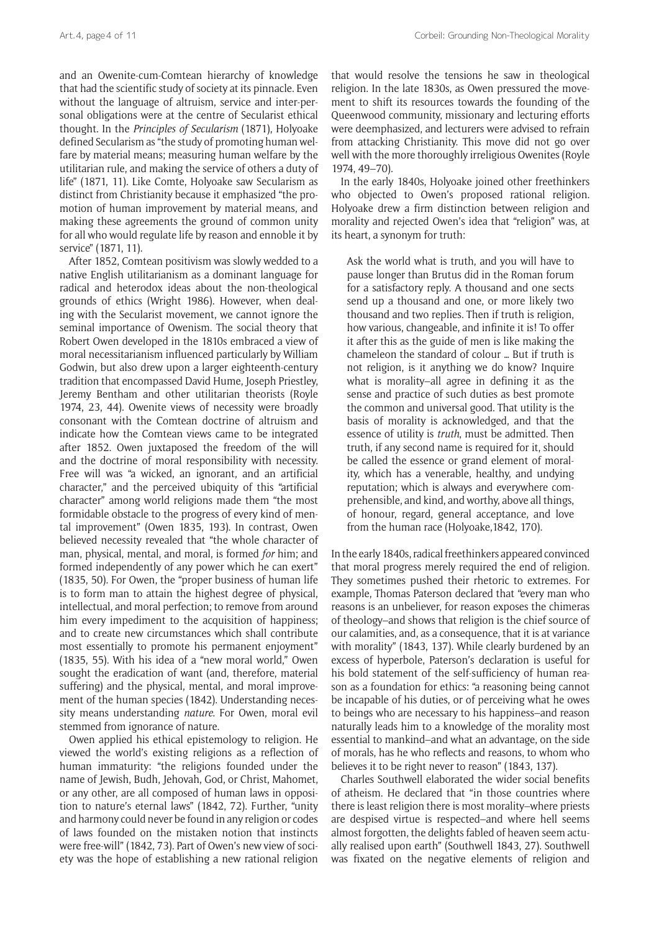and an Owenite-cum-Comtean hierarchy of knowledge that had the scientific study of society at its pinnacle. Even without the language of altruism, service and inter-personal obligations were at the centre of Secularist ethical thought. In the *Principles of Secularism* (1871), Holyoake defined Secularism as "the study of promoting human welfare by material means; measuring human welfare by the utilitarian rule, and making the service of others a duty of life" (1871, 11). Like Comte, Holyoake saw Secularism as distinct from Christianity because it emphasized "the promotion of human improvement by material means, and making these agreements the ground of common unity for all who would regulate life by reason and ennoble it by service" (1871, 11).

After 1852, Comtean positivism was slowly wedded to a native English utilitarianism as a dominant language for radical and heterodox ideas about the non-theological grounds of ethics (Wright 1986). However, when dealing with the Secularist movement, we cannot ignore the seminal importance of Owenism. The social theory that Robert Owen developed in the 1810s embraced a view of moral necessitarianism influenced particularly by William Godwin, but also drew upon a larger eighteenth-century tradition that encompassed David Hume, Joseph Priestley, Jeremy Bentham and other utilitarian theorists (Royle 1974, 23, 44). Owenite views of necessity were broadly consonant with the Comtean doctrine of altruism and indicate how the Comtean views came to be integrated after 1852. Owen juxtaposed the freedom of the will and the doctrine of moral responsibility with necessity. Free will was "a wicked, an ignorant, and an artificial character," and the perceived ubiquity of this "artificial character" among world religions made them "the most formidable obstacle to the progress of every kind of mental improvement" (Owen 1835, 193). In contrast, Owen believed necessity revealed that "the whole character of man, physical, mental, and moral, is formed *for* him; and formed independently of any power which he can exert" (1835, 50). For Owen, the "proper business of human life is to form man to attain the highest degree of physical, intellectual, and moral perfection; to remove from around him every impediment to the acquisition of happiness; and to create new circumstances which shall contribute most essentially to promote his permanent enjoyment" (1835, 55). With his idea of a "new moral world," Owen sought the eradication of want (and, therefore, material suffering) and the physical, mental, and moral improvement of the human species (1842). Understanding necessity means understanding *nature*. For Owen, moral evil stemmed from ignorance of nature.

Owen applied his ethical epistemology to religion. He viewed the world's existing religions as a reflection of human immaturity: "the religions founded under the name of Jewish, Budh, Jehovah, God, or Christ, Mahomet, or any other, are all composed of human laws in opposition to nature's eternal laws" (1842, 72). Further, "unity and harmony could never be found in any religion or codes of laws founded on the mistaken notion that instincts were free-will" (1842, 73). Part of Owen's new view of society was the hope of establishing a new rational religion

that would resolve the tensions he saw in theological religion. In the late 1830s, as Owen pressured the movement to shift its resources towards the founding of the Queenwood community, missionary and lecturing efforts were deemphasized, and lecturers were advised to refrain from attacking Christianity. This move did not go over well with the more thoroughly irreligious Owenites (Royle 1974, 49–70).

In the early 1840s, Holyoake joined other freethinkers who objected to Owen's proposed rational religion. Holyoake drew a firm distinction between religion and morality and rejected Owen's idea that "religion" was, at its heart, a synonym for truth:

Ask the world what is truth, and you will have to pause longer than Brutus did in the Roman forum for a satisfactory reply. A thousand and one sects send up a thousand and one, or more likely two thousand and two replies. Then if truth is religion, how various, changeable, and infinite it is! To offer it after this as the guide of men is like making the chameleon the standard of colour … But if truth is not religion, is it anything we do know? Inquire what is morality–all agree in defining it as the sense and practice of such duties as best promote the common and universal good. That utility is the basis of morality is acknowledged, and that the essence of utility is *truth*, must be admitted. Then truth, if any second name is required for it, should be called the essence or grand element of morality, which has a venerable, healthy, and undying reputation; which is always and everywhere comprehensible, and kind, and worthy, above all things, of honour, regard, general acceptance, and love from the human race (Holyoake,1842, 170).

In the early 1840s, radical freethinkers appeared convinced that moral progress merely required the end of religion. They sometimes pushed their rhetoric to extremes. For example, Thomas Paterson declared that "every man who reasons is an unbeliever, for reason exposes the chimeras of theology–and shows that religion is the chief source of our calamities, and, as a consequence, that it is at variance with morality" (1843, 137). While clearly burdened by an excess of hyperbole, Paterson's declaration is useful for his bold statement of the self-sufficiency of human reason as a foundation for ethics: "a reasoning being cannot be incapable of his duties, or of perceiving what he owes to beings who are necessary to his happiness–and reason naturally leads him to a knowledge of the morality most essential to mankind–and what an advantage, on the side of morals, has he who reflects and reasons, to whom who believes it to be right never to reason" (1843, 137).

Charles Southwell elaborated the wider social benefits of atheism. He declared that "in those countries where there is least religion there is most morality–where priests are despised virtue is respected–and where hell seems almost forgotten, the delights fabled of heaven seem actually realised upon earth" (Southwell 1843, 27). Southwell was fixated on the negative elements of religion and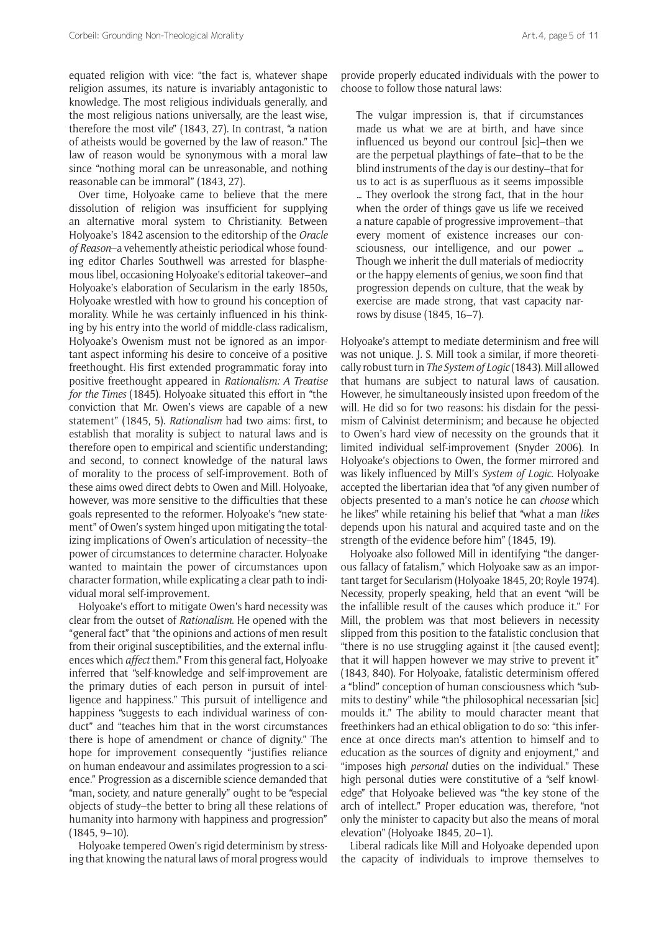equated religion with vice: "the fact is, whatever shape religion assumes, its nature is invariably antagonistic to knowledge. The most religious individuals generally, and the most religious nations universally, are the least wise, therefore the most vile" (1843, 27). In contrast, "a nation of atheists would be governed by the law of reason." The law of reason would be synonymous with a moral law since "nothing moral can be unreasonable, and nothing reasonable can be immoral" (1843, 27).

Over time, Holyoake came to believe that the mere dissolution of religion was insufficient for supplying an alternative moral system to Christianity. Between Holyoake's 1842 ascension to the editorship of the *Oracle of Reason*–a vehemently atheistic periodical whose founding editor Charles Southwell was arrested for blasphemous libel, occasioning Holyoake's editorial takeover–and Holyoake's elaboration of Secularism in the early 1850s, Holyoake wrestled with how to ground his conception of morality. While he was certainly influenced in his thinking by his entry into the world of middle-class radicalism, Holyoake's Owenism must not be ignored as an important aspect informing his desire to conceive of a positive freethought. His first extended programmatic foray into positive freethought appeared in *Rationalism: A Treatise for the Times* (1845). Holyoake situated this effort in "the conviction that Mr. Owen's views are capable of a new statement" (1845, 5). *Rationalism* had two aims: first, to establish that morality is subject to natural laws and is therefore open to empirical and scientific understanding; and second, to connect knowledge of the natural laws of morality to the process of self-improvement. Both of these aims owed direct debts to Owen and Mill. Holyoake, however, was more sensitive to the difficulties that these goals represented to the reformer. Holyoake's "new statement" of Owen's system hinged upon mitigating the totalizing implications of Owen's articulation of necessity–the power of circumstances to determine character. Holyoake wanted to maintain the power of circumstances upon character formation, while explicating a clear path to individual moral self-improvement.

Holyoake's effort to mitigate Owen's hard necessity was clear from the outset of *Rationalism*. He opened with the "general fact" that "the opinions and actions of men result from their original susceptibilities, and the external influences which *affect* them." From this general fact, Holyoake inferred that "self-knowledge and self-improvement are the primary duties of each person in pursuit of intelligence and happiness." This pursuit of intelligence and happiness "suggests to each individual wariness of conduct" and "teaches him that in the worst circumstances there is hope of amendment or chance of dignity." The hope for improvement consequently "justifies reliance on human endeavour and assimilates progression to a science." Progression as a discernible science demanded that "man, society, and nature generally" ought to be "especial objects of study–the better to bring all these relations of humanity into harmony with happiness and progression" (1845, 9–10).

Holyoake tempered Owen's rigid determinism by stressing that knowing the natural laws of moral progress would provide properly educated individuals with the power to choose to follow those natural laws:

The vulgar impression is, that if circumstances made us what we are at birth, and have since influenced us beyond our controul [sic]–then we are the perpetual playthings of fate–that to be the blind instruments of the day is our destiny–that for us to act is as superfluous as it seems impossible … They overlook the strong fact, that in the hour when the order of things gave us life we received a nature capable of progressive improvement–that every moment of existence increases our consciousness, our intelligence, and our power … Though we inherit the dull materials of mediocrity or the happy elements of genius, we soon find that progression depends on culture, that the weak by exercise are made strong, that vast capacity narrows by disuse (1845, 16–7).

Holyoake's attempt to mediate determinism and free will was not unique. J. S. Mill took a similar, if more theoretically robust turn in *The System of Logic* (1843). Mill allowed that humans are subject to natural laws of causation. However, he simultaneously insisted upon freedom of the will. He did so for two reasons: his disdain for the pessimism of Calvinist determinism; and because he objected to Owen's hard view of necessity on the grounds that it limited individual self-improvement (Snyder 2006). In Holyoake's objections to Owen, the former mirrored and was likely influenced by Mill's *System of Logic*. Holyoake accepted the libertarian idea that "of any given number of objects presented to a man's notice he can *choose* which he likes" while retaining his belief that "what a man *likes* depends upon his natural and acquired taste and on the strength of the evidence before him" (1845, 19).

Holyoake also followed Mill in identifying "the dangerous fallacy of fatalism," which Holyoake saw as an important target for Secularism (Holyoake 1845, 20; Royle 1974). Necessity, properly speaking, held that an event "will be the infallible result of the causes which produce it." For Mill, the problem was that most believers in necessity slipped from this position to the fatalistic conclusion that "there is no use struggling against it [the caused event]; that it will happen however we may strive to prevent it" (1843, 840). For Holyoake, fatalistic determinism offered a "blind" conception of human consciousness which "submits to destiny" while "the philosophical necessarian [sic] moulds it." The ability to mould character meant that freethinkers had an ethical obligation to do so: "this inference at once directs man's attention to himself and to education as the sources of dignity and enjoyment," and "imposes high *personal* duties on the individual." These high personal duties were constitutive of a "self knowledge" that Holyoake believed was "the key stone of the arch of intellect." Proper education was, therefore, "not only the minister to capacity but also the means of moral elevation" (Holyoake 1845, 20–1).

Liberal radicals like Mill and Holyoake depended upon the capacity of individuals to improve themselves to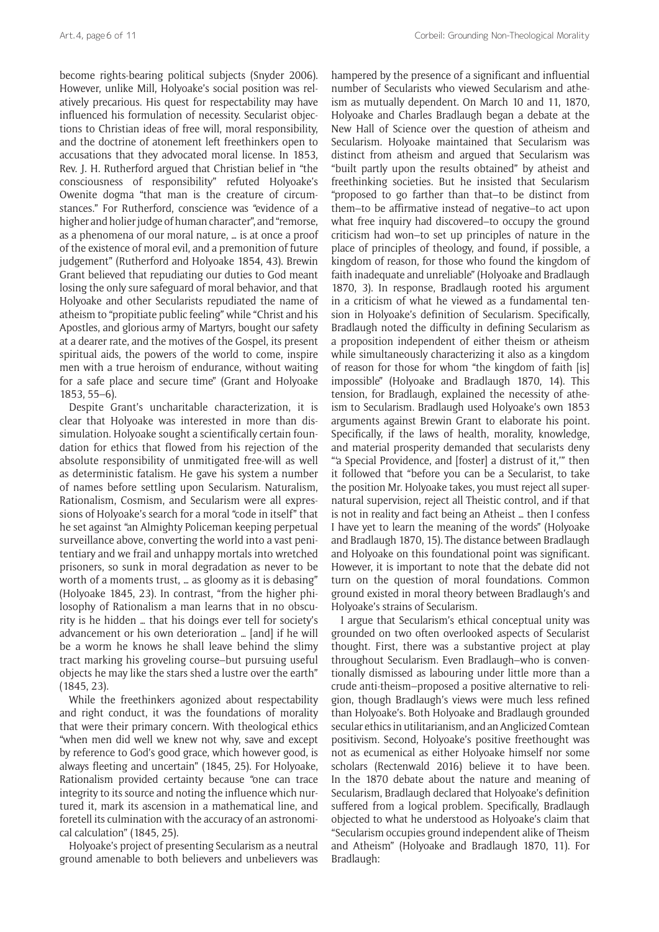become rights-bearing political subjects (Snyder 2006). However, unlike Mill, Holyoake's social position was relatively precarious. His quest for respectability may have influenced his formulation of necessity. Secularist objections to Christian ideas of free will, moral responsibility, and the doctrine of atonement left freethinkers open to accusations that they advocated moral license. In 1853, Rev. J. H. Rutherford argued that Christian belief in "the consciousness of responsibility" refuted Holyoake's Owenite dogma "that man is the creature of circumstances." For Rutherford, conscience was "evidence of a higher and holier judge of human character", and "remorse, as a phenomena of our moral nature, … is at once a proof of the existence of moral evil, and a premonition of future judgement" (Rutherford and Holyoake 1854, 43). Brewin Grant believed that repudiating our duties to God meant losing the only sure safeguard of moral behavior, and that Holyoake and other Secularists repudiated the name of atheism to "propitiate public feeling" while "Christ and his Apostles, and glorious army of Martyrs, bought our safety at a dearer rate, and the motives of the Gospel, its present spiritual aids, the powers of the world to come, inspire men with a true heroism of endurance, without waiting for a safe place and secure time" (Grant and Holyoake 1853, 55–6).

Despite Grant's uncharitable characterization, it is clear that Holyoake was interested in more than dissimulation. Holyoake sought a scientifically certain foundation for ethics that flowed from his rejection of the absolute responsibility of unmitigated free-will as well as deterministic fatalism. He gave his system a number of names before settling upon Secularism. Naturalism, Rationalism, Cosmism, and Secularism were all expressions of Holyoake's search for a moral "code in itself" that he set against "an Almighty Policeman keeping perpetual surveillance above, converting the world into a vast penitentiary and we frail and unhappy mortals into wretched prisoners, so sunk in moral degradation as never to be worth of a moments trust, … as gloomy as it is debasing" (Holyoake 1845, 23). In contrast, "from the higher philosophy of Rationalism a man learns that in no obscurity is he hidden … that his doings ever tell for society's advancement or his own deterioration … [and] if he will be a worm he knows he shall leave behind the slimy tract marking his groveling course–but pursuing useful objects he may like the stars shed a lustre over the earth" (1845, 23).

While the freethinkers agonized about respectability and right conduct, it was the foundations of morality that were their primary concern. With theological ethics "when men did well we knew not why, save and except by reference to God's good grace, which however good, is always fleeting and uncertain" (1845, 25). For Holyoake, Rationalism provided certainty because "one can trace integrity to its source and noting the influence which nurtured it, mark its ascension in a mathematical line, and foretell its culmination with the accuracy of an astronomical calculation" (1845, 25).

Holyoake's project of presenting Secularism as a neutral ground amenable to both believers and unbelievers was

hampered by the presence of a significant and influential number of Secularists who viewed Secularism and atheism as mutually dependent. On March 10 and 11, 1870, Holyoake and Charles Bradlaugh began a debate at the New Hall of Science over the question of atheism and Secularism. Holyoake maintained that Secularism was distinct from atheism and argued that Secularism was "built partly upon the results obtained" by atheist and freethinking societies. But he insisted that Secularism "proposed to go farther than that–to be distinct from them–to be affirmative instead of negative–to act upon what free inquiry had discovered–to occupy the ground criticism had won–to set up principles of nature in the place of principles of theology, and found, if possible, a kingdom of reason, for those who found the kingdom of faith inadequate and unreliable" (Holyoake and Bradlaugh 1870, 3). In response, Bradlaugh rooted his argument in a criticism of what he viewed as a fundamental tension in Holyoake's definition of Secularism. Specifically, Bradlaugh noted the difficulty in defining Secularism as a proposition independent of either theism or atheism while simultaneously characterizing it also as a kingdom of reason for those for whom "the kingdom of faith [is] impossible" (Holyoake and Bradlaugh 1870, 14). This tension, for Bradlaugh, explained the necessity of atheism to Secularism. Bradlaugh used Holyoake's own 1853 arguments against Brewin Grant to elaborate his point. Specifically, if the laws of health, morality, knowledge, and material prosperity demanded that secularists deny "'a Special Providence, and [foster] a distrust of it,'" then it followed that "before you can be a Secularist, to take the position Mr. Holyoake takes, you must reject all supernatural supervision, reject all Theistic control, and if that is not in reality and fact being an Atheist … then I confess I have yet to learn the meaning of the words" (Holyoake and Bradlaugh 1870, 15). The distance between Bradlaugh and Holyoake on this foundational point was significant. However, it is important to note that the debate did not turn on the question of moral foundations. Common ground existed in moral theory between Bradlaugh's and Holyoake's strains of Secularism.

I argue that Secularism's ethical conceptual unity was grounded on two often overlooked aspects of Secularist thought. First, there was a substantive project at play throughout Secularism. Even Bradlaugh–who is conventionally dismissed as labouring under little more than a crude anti-theism–proposed a positive alternative to religion, though Bradlaugh's views were much less refined than Holyoake's. Both Holyoake and Bradlaugh grounded secular ethics in utilitarianism, and an Anglicized Comtean positivism. Second, Holyoake's positive freethought was not as ecumenical as either Holyoake himself nor some scholars (Rectenwald 2016) believe it to have been. In the 1870 debate about the nature and meaning of Secularism, Bradlaugh declared that Holyoake's definition suffered from a logical problem. Specifically, Bradlaugh objected to what he understood as Holyoake's claim that "Secularism occupies ground independent alike of Theism and Atheism" (Holyoake and Bradlaugh 1870, 11). For Bradlaugh: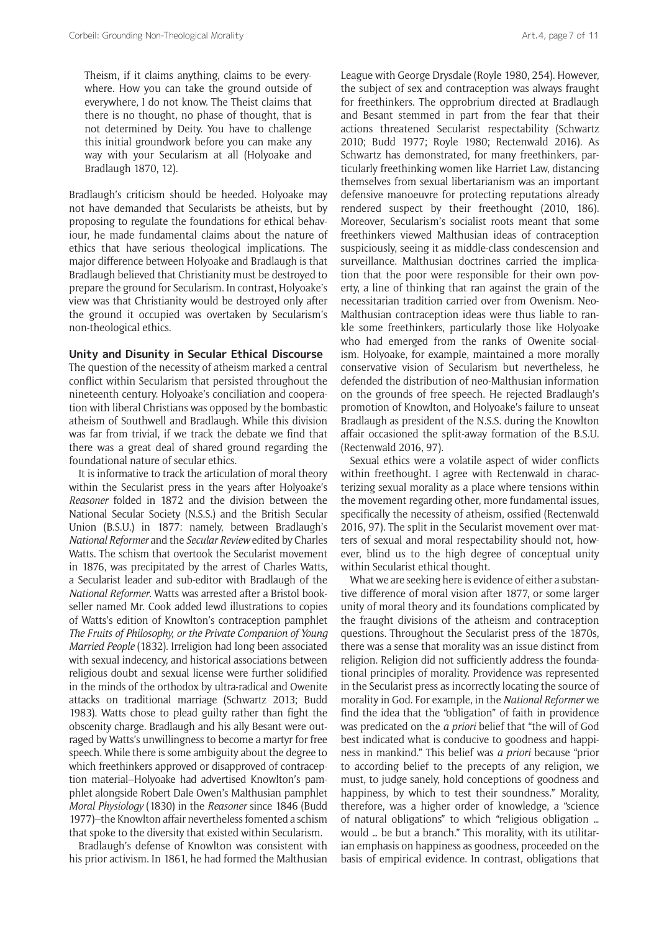Theism, if it claims anything, claims to be everywhere. How you can take the ground outside of everywhere, I do not know. The Theist claims that there is no thought, no phase of thought, that is not determined by Deity. You have to challenge this initial groundwork before you can make any way with your Secularism at all (Holyoake and Bradlaugh 1870, 12).

Bradlaugh's criticism should be heeded. Holyoake may not have demanded that Secularists be atheists, but by proposing to regulate the foundations for ethical behaviour, he made fundamental claims about the nature of ethics that have serious theological implications. The major difference between Holyoake and Bradlaugh is that Bradlaugh believed that Christianity must be destroyed to prepare the ground for Secularism. In contrast, Holyoake's view was that Christianity would be destroyed only after the ground it occupied was overtaken by Secularism's non-theological ethics.

#### **Unity and Disunity in Secular Ethical Discourse**

The question of the necessity of atheism marked a central conflict within Secularism that persisted throughout the nineteenth century. Holyoake's conciliation and cooperation with liberal Christians was opposed by the bombastic atheism of Southwell and Bradlaugh. While this division was far from trivial, if we track the debate we find that there was a great deal of shared ground regarding the foundational nature of secular ethics.

It is informative to track the articulation of moral theory within the Secularist press in the years after Holyoake's *Reasoner* folded in 1872 and the division between the National Secular Society (N.S.S.) and the British Secular Union (B.S.U.) in 1877: namely, between Bradlaugh's *National Reformer* and the *Secular Review* edited by Charles Watts. The schism that overtook the Secularist movement in 1876, was precipitated by the arrest of Charles Watts, a Secularist leader and sub-editor with Bradlaugh of the *National Reformer*. Watts was arrested after a Bristol bookseller named Mr. Cook added lewd illustrations to copies of Watts's edition of Knowlton's contraception pamphlet *The Fruits of Philosophy, or the Private Companion of Young Married People* (1832). Irreligion had long been associated with sexual indecency, and historical associations between religious doubt and sexual license were further solidified in the minds of the orthodox by ultra-radical and Owenite attacks on traditional marriage (Schwartz 2013; Budd 1983). Watts chose to plead guilty rather than fight the obscenity charge. Bradlaugh and his ally Besant were outraged by Watts's unwillingness to become a martyr for free speech. While there is some ambiguity about the degree to which freethinkers approved or disapproved of contraception material–Holyoake had advertised Knowlton's pamphlet alongside Robert Dale Owen's Malthusian pamphlet *Moral Physiology* (1830) in the *Reasoner* since 1846 (Budd 1977)–the Knowlton affair nevertheless fomented a schism that spoke to the diversity that existed within Secularism.

Bradlaugh's defense of Knowlton was consistent with his prior activism. In 1861, he had formed the Malthusian League with George Drysdale (Royle 1980, 254). However, the subject of sex and contraception was always fraught for freethinkers. The opprobrium directed at Bradlaugh and Besant stemmed in part from the fear that their actions threatened Secularist respectability (Schwartz 2010; Budd 1977; Royle 1980; Rectenwald 2016). As Schwartz has demonstrated, for many freethinkers, particularly freethinking women like Harriet Law, distancing themselves from sexual libertarianism was an important defensive manoeuvre for protecting reputations already rendered suspect by their freethought (2010, 186). Moreover, Secularism's socialist roots meant that some freethinkers viewed Malthusian ideas of contraception suspiciously, seeing it as middle-class condescension and surveillance. Malthusian doctrines carried the implication that the poor were responsible for their own poverty, a line of thinking that ran against the grain of the necessitarian tradition carried over from Owenism. Neo-Malthusian contraception ideas were thus liable to rankle some freethinkers, particularly those like Holyoake who had emerged from the ranks of Owenite socialism. Holyoake, for example, maintained a more morally conservative vision of Secularism but nevertheless, he defended the distribution of neo-Malthusian information on the grounds of free speech. He rejected Bradlaugh's promotion of Knowlton, and Holyoake's failure to unseat Bradlaugh as president of the N.S.S. during the Knowlton affair occasioned the split-away formation of the B.S.U. (Rectenwald 2016, 97).

Sexual ethics were a volatile aspect of wider conflicts within freethought. I agree with Rectenwald in characterizing sexual morality as a place where tensions within the movement regarding other, more fundamental issues, specifically the necessity of atheism, ossified (Rectenwald 2016, 97). The split in the Secularist movement over matters of sexual and moral respectability should not, however, blind us to the high degree of conceptual unity within Secularist ethical thought.

What we are seeking here is evidence of either a substantive difference of moral vision after 1877, or some larger unity of moral theory and its foundations complicated by the fraught divisions of the atheism and contraception questions. Throughout the Secularist press of the 1870s, there was a sense that morality was an issue distinct from religion. Religion did not sufficiently address the foundational principles of morality. Providence was represented in the Secularist press as incorrectly locating the source of morality in God. For example, in the *National Reformer* we find the idea that the "obligation" of faith in providence was predicated on the *a priori* belief that "the will of God best indicated what is conducive to goodness and happiness in mankind." This belief was *a priori* because "prior to according belief to the precepts of any religion, we must, to judge sanely, hold conceptions of goodness and happiness, by which to test their soundness." Morality, therefore, was a higher order of knowledge, a "science of natural obligations" to which "religious obligation … would … be but a branch." This morality, with its utilitarian emphasis on happiness as goodness, proceeded on the basis of empirical evidence. In contrast, obligations that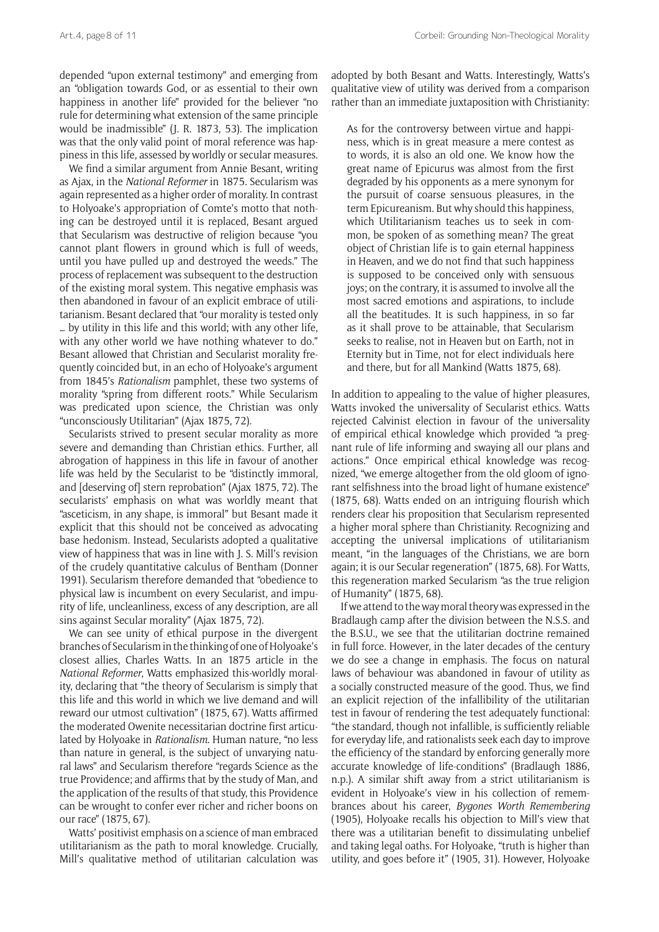depended "upon external testimony" and emerging from an "obligation towards God, or as essential to their own happiness in another life" provided for the believer "no rule for determining what extension of the same principle would be inadmissible" (J. R. 1873, 53). The implication was that the only valid point of moral reference was happiness in this life, assessed by worldly or secular measures.

We find a similar argument from Annie Besant, writing as Ajax, in the *National Reformer* in 1875. Secularism was again represented as a higher order of morality. In contrast to Holyoake's appropriation of Comte's motto that nothing can be destroyed until it is replaced, Besant argued that Secularism was destructive of religion because "you cannot plant flowers in ground which is full of weeds, until you have pulled up and destroyed the weeds." The process of replacement was subsequent to the destruction of the existing moral system. This negative emphasis was then abandoned in favour of an explicit embrace of utilitarianism. Besant declared that "our morality is tested only … by utility in this life and this world; with any other life, with any other world we have nothing whatever to do." Besant allowed that Christian and Secularist morality frequently coincided but, in an echo of Holyoake's argument from 1845's *Rationalism* pamphlet, these two systems of morality "spring from different roots." While Secularism was predicated upon science, the Christian was only "unconsciously Utilitarian" (Ajax 1875, 72).

Secularists strived to present secular morality as more severe and demanding than Christian ethics. Further, all abrogation of happiness in this life in favour of another life was held by the Secularist to be "distinctly immoral, and [deserving of] stern reprobation" (Ajax 1875, 72). The secularists' emphasis on what was worldly meant that "asceticism, in any shape, is immoral" but Besant made it explicit that this should not be conceived as advocating base hedonism. Instead, Secularists adopted a qualitative view of happiness that was in line with J. S. Mill's revision of the crudely quantitative calculus of Bentham (Donner 1991). Secularism therefore demanded that "obedience to physical law is incumbent on every Secularist, and impurity of life, uncleanliness, excess of any description, are all sins against Secular morality" (Ajax 1875, 72).

We can see unity of ethical purpose in the divergent branches of Secularism in the thinking of one of Holyoake's closest allies, Charles Watts. In an 1875 article in the *National Reformer*, Watts emphasized this-worldly morality, declaring that "the theory of Secularism is simply that this life and this world in which we live demand and will reward our utmost cultivation" (1875, 67). Watts affirmed the moderated Owenite necessitarian doctrine first articulated by Holyoake in *Rationalism*. Human nature, "no less than nature in general, is the subject of unvarying natural laws" and Secularism therefore "regards Science as the true Providence; and affirms that by the study of Man, and the application of the results of that study, this Providence can be wrought to confer ever richer and richer boons on our race" (1875, 67).

Watts' positivist emphasis on a science of man embraced utilitarianism as the path to moral knowledge. Crucially, Mill's qualitative method of utilitarian calculation was adopted by both Besant and Watts. Interestingly, Watts's qualitative view of utility was derived from a comparison rather than an immediate juxtaposition with Christianity:

As for the controversy between virtue and happiness, which is in great measure a mere contest as to words, it is also an old one. We know how the great name of Epicurus was almost from the first degraded by his opponents as a mere synonym for the pursuit of coarse sensuous pleasures, in the term Epicureanism. But why should this happiness, which Utilitarianism teaches us to seek in common, be spoken of as something mean? The great object of Christian life is to gain eternal happiness in Heaven, and we do not find that such happiness is supposed to be conceived only with sensuous joys; on the contrary, it is assumed to involve all the most sacred emotions and aspirations, to include all the beatitudes. It is such happiness, in so far as it shall prove to be attainable, that Secularism seeks to realise, not in Heaven but on Earth, not in Eternity but in Time, not for elect individuals here and there, but for all Mankind (Watts 1875, 68).

In addition to appealing to the value of higher pleasures, Watts invoked the universality of Secularist ethics. Watts rejected Calvinist election in favour of the universality of empirical ethical knowledge which provided "a pregnant rule of life informing and swaying all our plans and actions." Once empirical ethical knowledge was recognized, "we emerge altogether from the old gloom of ignorant selfishness into the broad light of humane existence" (1875, 68). Watts ended on an intriguing flourish which renders clear his proposition that Secularism represented a higher moral sphere than Christianity. Recognizing and accepting the universal implications of utilitarianism meant, "in the languages of the Christians, we are born again; it is our Secular regeneration" (1875, 68). For Watts, this regeneration marked Secularism "as the true religion of Humanity" (1875, 68).

If we attend to the way moral theory was expressed in the Bradlaugh camp after the division between the N.S.S. and the B.S.U., we see that the utilitarian doctrine remained in full force. However, in the later decades of the century we do see a change in emphasis. The focus on natural laws of behaviour was abandoned in favour of utility as a socially constructed measure of the good. Thus, we find an explicit rejection of the infallibility of the utilitarian test in favour of rendering the test adequately functional: "the standard, though not infallible, is sufficiently reliable for everyday life, and rationalists seek each day to improve the efficiency of the standard by enforcing generally more accurate knowledge of life-conditions" (Bradlaugh 1886, n.p.). A similar shift away from a strict utilitarianism is evident in Holyoake's view in his collection of remembrances about his career, *Bygones Worth Remembering* (1905), Holyoake recalls his objection to Mill's view that there was a utilitarian benefit to dissimulating unbelief and taking legal oaths. For Holyoake, "truth is higher than utility, and goes before it" (1905, 31). However, Holyoake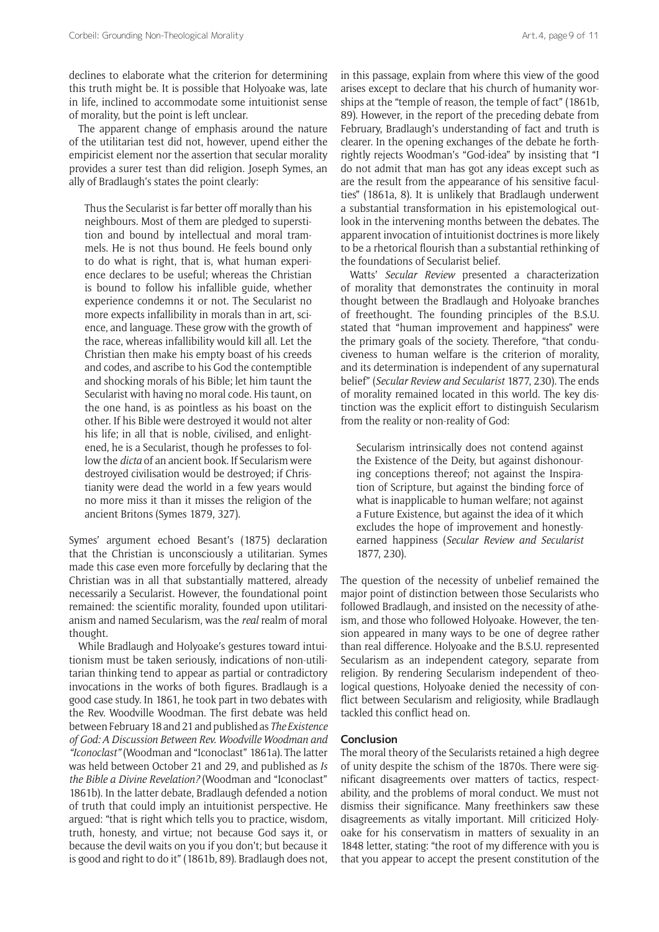declines to elaborate what the criterion for determining this truth might be. It is possible that Holyoake was, late in life, inclined to accommodate some intuitionist sense of morality, but the point is left unclear.

The apparent change of emphasis around the nature of the utilitarian test did not, however, upend either the empiricist element nor the assertion that secular morality provides a surer test than did religion. Joseph Symes, an ally of Bradlaugh's states the point clearly:

Thus the Secularist is far better off morally than his neighbours. Most of them are pledged to superstition and bound by intellectual and moral trammels. He is not thus bound. He feels bound only to do what is right, that is, what human experience declares to be useful; whereas the Christian is bound to follow his infallible guide, whether experience condemns it or not. The Secularist no more expects infallibility in morals than in art, science, and language. These grow with the growth of the race, whereas infallibility would kill all. Let the Christian then make his empty boast of his creeds and codes, and ascribe to his God the contemptible and shocking morals of his Bible; let him taunt the Secularist with having no moral code. His taunt, on the one hand, is as pointless as his boast on the other. If his Bible were destroyed it would not alter his life; in all that is noble, civilised, and enlightened, he is a Secularist, though he professes to follow the *dicta* of an ancient book. If Secularism were destroyed civilisation would be destroyed; if Christianity were dead the world in a few years would no more miss it than it misses the religion of the ancient Britons (Symes 1879, 327).

Symes' argument echoed Besant's (1875) declaration that the Christian is unconsciously a utilitarian. Symes made this case even more forcefully by declaring that the Christian was in all that substantially mattered, already necessarily a Secularist. However, the foundational point remained: the scientific morality, founded upon utilitarianism and named Secularism, was the *real* realm of moral thought.

While Bradlaugh and Holyoake's gestures toward intuitionism must be taken seriously, indications of non-utilitarian thinking tend to appear as partial or contradictory invocations in the works of both figures. Bradlaugh is a good case study. In 1861, he took part in two debates with the Rev. Woodville Woodman. The first debate was held between February 18 and 21 and published as *The Existence of God: A Discussion Between Rev. Woodville Woodman and "Iconoclast"* (Woodman and "Iconoclast" 1861a). The latter was held between October 21 and 29, and published as *Is the Bible a Divine Revelation?* (Woodman and "Iconoclast" 1861b). In the latter debate, Bradlaugh defended a notion of truth that could imply an intuitionist perspective. He argued: "that is right which tells you to practice, wisdom, truth, honesty, and virtue; not because God says it, or because the devil waits on you if you don't; but because it is good and right to do it" (1861b, 89). Bradlaugh does not, in this passage, explain from where this view of the good arises except to declare that his church of humanity worships at the "temple of reason, the temple of fact" (1861b, 89). However, in the report of the preceding debate from February, Bradlaugh's understanding of fact and truth is clearer. In the opening exchanges of the debate he forthrightly rejects Woodman's "God-idea" by insisting that "I do not admit that man has got any ideas except such as are the result from the appearance of his sensitive faculties" (1861a, 8). It is unlikely that Bradlaugh underwent a substantial transformation in his epistemological outlook in the intervening months between the debates. The apparent invocation of intuitionist doctrines is more likely to be a rhetorical flourish than a substantial rethinking of the foundations of Secularist belief.

Watts' *Secular Review* presented a characterization of morality that demonstrates the continuity in moral thought between the Bradlaugh and Holyoake branches of freethought. The founding principles of the B.S.U. stated that "human improvement and happiness" were the primary goals of the society. Therefore, "that conduciveness to human welfare is the criterion of morality, and its determination is independent of any supernatural belief" (*Secular Review and Secularist* 1877, 230). The ends of morality remained located in this world. The key distinction was the explicit effort to distinguish Secularism from the reality or non-reality of God:

Secularism intrinsically does not contend against the Existence of the Deity, but against dishonouring conceptions thereof; not against the Inspiration of Scripture, but against the binding force of what is inapplicable to human welfare; not against a Future Existence, but against the idea of it which excludes the hope of improvement and honestlyearned happiness (*Secular Review and Secularist* 1877, 230).

The question of the necessity of unbelief remained the major point of distinction between those Secularists who followed Bradlaugh, and insisted on the necessity of atheism, and those who followed Holyoake. However, the tension appeared in many ways to be one of degree rather than real difference. Holyoake and the B.S.U. represented Secularism as an independent category, separate from religion. By rendering Secularism independent of theological questions, Holyoake denied the necessity of conflict between Secularism and religiosity, while Bradlaugh tackled this conflict head on.

## **Conclusion**

The moral theory of the Secularists retained a high degree of unity despite the schism of the 1870s. There were significant disagreements over matters of tactics, respectability, and the problems of moral conduct. We must not dismiss their significance. Many freethinkers saw these disagreements as vitally important. Mill criticized Holyoake for his conservatism in matters of sexuality in an 1848 letter, stating: "the root of my difference with you is that you appear to accept the present constitution of the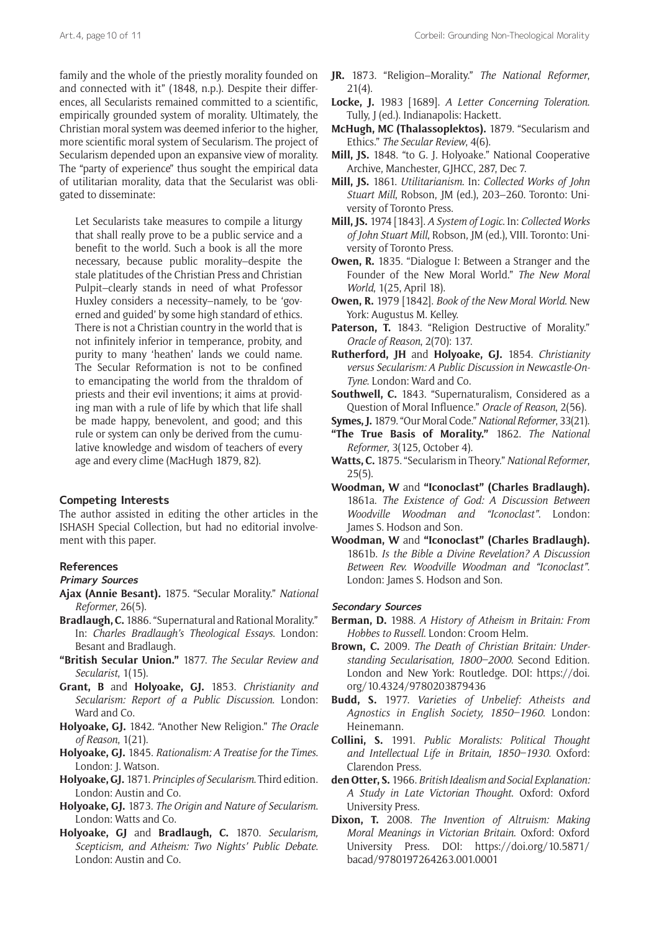family and the whole of the priestly morality founded on and connected with it" (1848, n.p.). Despite their differences, all Secularists remained committed to a scientific, empirically grounded system of morality. Ultimately, the Christian moral system was deemed inferior to the higher, more scientific moral system of Secularism. The project of Secularism depended upon an expansive view of morality. The "party of experience" thus sought the empirical data of utilitarian morality, data that the Secularist was obligated to disseminate:

Let Secularists take measures to compile a liturgy that shall really prove to be a public service and a benefit to the world. Such a book is all the more necessary, because public morality–despite the stale platitudes of the Christian Press and Christian Pulpit–clearly stands in need of what Professor Huxley considers a necessity–namely, to be 'governed and guided' by some high standard of ethics. There is not a Christian country in the world that is not infinitely inferior in temperance, probity, and purity to many 'heathen' lands we could name. The Secular Reformation is not to be confined to emancipating the world from the thraldom of priests and their evil inventions; it aims at providing man with a rule of life by which that life shall be made happy, benevolent, and good; and this rule or system can only be derived from the cumulative knowledge and wisdom of teachers of every age and every clime (MacHugh 1879, 82).

## **Competing Interests**

The author assisted in editing the other articles in the ISHASH Special Collection, but had no editorial involvement with this paper.

#### **References**

### **Primary Sources**

- **Ajax (Annie Besant).** 1875. "Secular Morality." *National Reformer*, 26(5).
- **Bradlaugh, C.** 1886. "Supernatural and Rational Morality." In: *Charles Bradlaugh's Theological Essays*. London: Besant and Bradlaugh.
- **"British Secular Union."** 1877. *The Secular Review and Secularist*, 1(15).
- **Grant, B** and **Holyoake, GJ.** 1853. *Christianity and Secularism: Report of a Public Discussion*. London: Ward and Co.
- **Holyoake, GJ.** 1842. "Another New Religion." *The Oracle of Reason*, 1(21).
- **Holyoake, GJ.** 1845. *Rationalism: A Treatise for the Times*. London: J. Watson.
- **Holyoake, GJ.** 1871. *Principles of Secularism*. Third edition. London: Austin and Co.
- **Holyoake, GJ.** 1873. *The Origin and Nature of Secularism*. London: Watts and Co.
- **Holyoake, GJ** and **Bradlaugh, C.** 1870. *Secularism, Scepticism, and Atheism: Two Nights' Public Debate*. London: Austin and Co.
- **JR.** 1873. "Religion–Morality." *The National Reformer*, 21(4).
- **Locke, J.** 1983 [1689]. *A Letter Concerning Toleration*. Tully, J (ed.). Indianapolis: Hackett.
- **McHugh, MC (Thalassoplektos).** 1879. "Secularism and Ethics." *The Secular Review*, 4(6).
- **Mill, JS.** 1848. "to G. J. Holyoake." National Cooperative Archive, Manchester, GJHCC, 287, Dec 7.
- **Mill, JS.** 1861. *Utilitarianism*. In: *Collected Works of John Stuart Mill*, Robson, JM (ed.), 203–260. Toronto: University of Toronto Press.
- **Mill, JS.** 1974 [1843]. *A System of Logic*. In: *Collected Works of John Stuart Mill*, Robson, JM (ed.), VIII. Toronto: University of Toronto Press.
- **Owen, R.** 1835. "Dialogue I: Between a Stranger and the Founder of the New Moral World." *The New Moral World*, 1(25, April 18).
- **Owen, R.** 1979 [1842]. *Book of the New Moral World*. New York: Augustus M. Kelley.
- Paterson, T. 1843. "Religion Destructive of Morality." *Oracle of Reason*, 2(70): 137.
- **Rutherford, JH** and **Holyoake, GJ.** 1854. *Christianity versus Secularism: A Public Discussion in Newcastle-On-Tyne*. London: Ward and Co.
- **Southwell, C.** 1843. "Supernaturalism, Considered as a Question of Moral Influence." *Oracle of Reason*, 2(56).
- **Symes, J.** 1879. "Our Moral Code." *National Reformer*, 33(21).
- **"The True Basis of Morality."** 1862. *The National Reformer*, 3(125, October 4).
- **Watts, C.** 1875. "Secularism in Theory." *National Reformer*,  $25(5)$ .
- **Woodman, W** and **"Iconoclast" (Charles Bradlaugh).** 1861a. *The Existence of God: A Discussion Between Woodville Woodman and "Iconoclast"*. London: James S. Hodson and Son.
- **Woodman, W** and **"Iconoclast" (Charles Bradlaugh).** 1861b. *Is the Bible a Divine Revelation? A Discussion Between Rev. Woodville Woodman and "Iconoclast"*. London: James S. Hodson and Son.

#### **Secondary Sources**

- **Berman, D.** 1988. *A History of Atheism in Britain: From Hobbes to Russell*. London: Croom Helm.
- **Brown, C.** 2009. *The Death of Christian Britain: Understanding Secularisation, 1800–2000*. Second Edition. London and New York: Routledge. DOI: [https://doi.](https://doi.org/10.4324/9780203879436) [org/10.4324/9780203879436](https://doi.org/10.4324/9780203879436)
- **Budd, S.** 1977. *Varieties of Unbelief: Atheists and Agnostics in English Society, 1850–1960*. London: Heinemann.
- **Collini, S.** 1991. *Public Moralists: Political Thought and Intellectual Life in Britain, 1850–1930*. Oxford: Clarendon Press.
- **den Otter, S.** 1966. *British Idealism and Social Explanation: A Study in Late Victorian Thought*. Oxford: Oxford University Press.
- **Dixon, T.** 2008. *The Invention of Altruism: Making Moral Meanings in Victorian Britain*. Oxford: Oxford University Press. DOI: [https://doi.org/10.5871/](https://doi.org/10.5871/bacad/9780197264263.001.0001) [bacad/9780197264263.001.0001](https://doi.org/10.5871/bacad/9780197264263.001.0001)